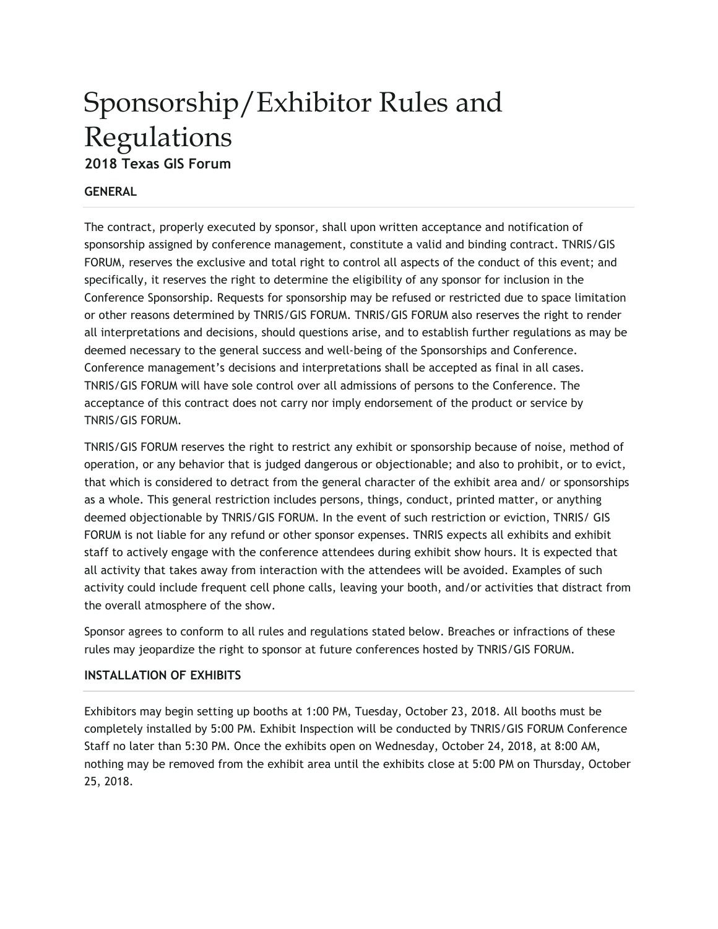# Sponsorship/Exhibitor Rules and Regulations **2018 Texas GIS Forum**

# **GENERAL**

The contract, properly executed by sponsor, shall upon written acceptance and notification of sponsorship assigned by conference management, constitute a valid and binding contract. TNRIS/GIS FORUM, reserves the exclusive and total right to control all aspects of the conduct of this event; and specifically, it reserves the right to determine the eligibility of any sponsor for inclusion in the Conference Sponsorship. Requests for sponsorship may be refused or restricted due to space limitation or other reasons determined by TNRIS/GIS FORUM. TNRIS/GIS FORUM also reserves the right to render all interpretations and decisions, should questions arise, and to establish further regulations as may be deemed necessary to the general success and well-being of the Sponsorships and Conference. Conference management's decisions and interpretations shall be accepted as final in all cases. TNRIS/GIS FORUM will have sole control over all admissions of persons to the Conference. The acceptance of this contract does not carry nor imply endorsement of the product or service by TNRIS/GIS FORUM.

TNRIS/GIS FORUM reserves the right to restrict any exhibit or sponsorship because of noise, method of operation, or any behavior that is judged dangerous or objectionable; and also to prohibit, or to evict, that which is considered to detract from the general character of the exhibit area and/ or sponsorships as a whole. This general restriction includes persons, things, conduct, printed matter, or anything deemed objectionable by TNRIS/GIS FORUM. In the event of such restriction or eviction, TNRIS/ GIS FORUM is not liable for any refund or other sponsor expenses. TNRIS expects all exhibits and exhibit staff to actively engage with the conference attendees during exhibit show hours. It is expected that all activity that takes away from interaction with the attendees will be avoided. Examples of such activity could include frequent cell phone calls, leaving your booth, and/or activities that distract from the overall atmosphere of the show.

Sponsor agrees to conform to all rules and regulations stated below. Breaches or infractions of these rules may jeopardize the right to sponsor at future conferences hosted by TNRIS/GIS FORUM.

## **INSTALLATION OF EXHIBITS**

Exhibitors may begin setting up booths at 1:00 PM, Tuesday, October 23, 2018. All booths must be completely installed by 5:00 PM. Exhibit Inspection will be conducted by TNRIS/GIS FORUM Conference Staff no later than 5:30 PM. Once the exhibits open on Wednesday, October 24, 2018, at 8:00 AM, nothing may be removed from the exhibit area until the exhibits close at 5:00 PM on Thursday, October 25, 2018.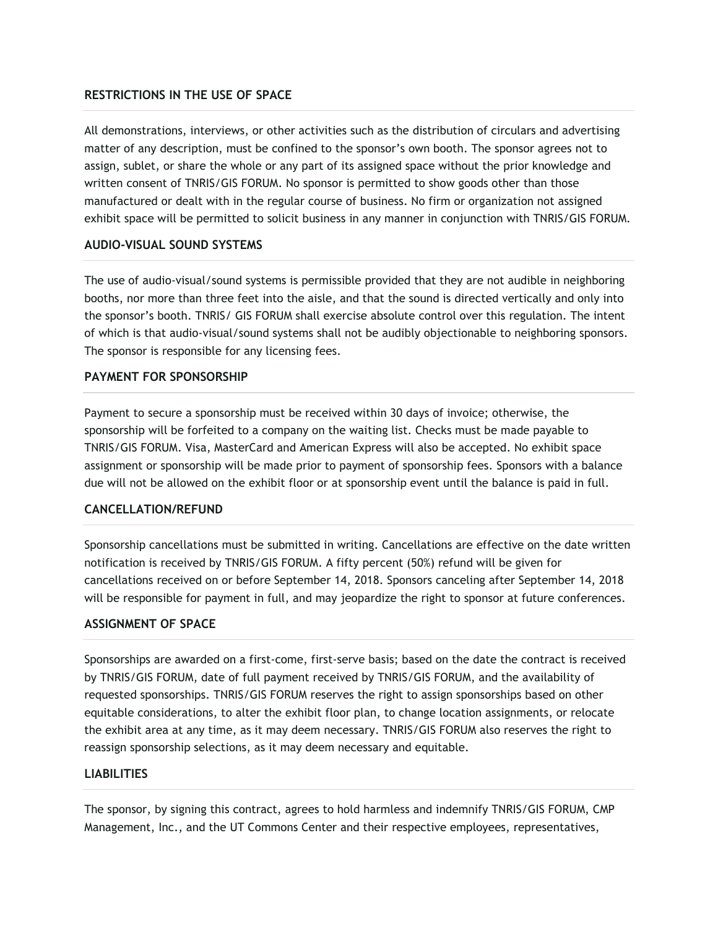## **RESTRICTIONS IN THE USE OF SPACE**

All demonstrations, interviews, or other activities such as the distribution of circulars and advertising matter of any description, must be confined to the sponsor's own booth. The sponsor agrees not to assign, sublet, or share the whole or any part of its assigned space without the prior knowledge and written consent of TNRIS/GIS FORUM. No sponsor is permitted to show goods other than those manufactured or dealt with in the regular course of business. No firm or organization not assigned exhibit space will be permitted to solicit business in any manner in conjunction with TNRIS/GIS FORUM.

#### **AUDIO-VISUAL SOUND SYSTEMS**

The use of audio-visual/sound systems is permissible provided that they are not audible in neighboring booths, nor more than three feet into the aisle, and that the sound is directed vertically and only into the sponsor's booth. TNRIS/ GIS FORUM shall exercise absolute control over this regulation. The intent of which is that audio-visual/sound systems shall not be audibly objectionable to neighboring sponsors. The sponsor is responsible for any licensing fees.

#### **PAYMENT FOR SPONSORSHIP**

Payment to secure a sponsorship must be received within 30 days of invoice; otherwise, the sponsorship will be forfeited to a company on the waiting list. Checks must be made payable to TNRIS/GIS FORUM. Visa, MasterCard and American Express will also be accepted. No exhibit space assignment or sponsorship will be made prior to payment of sponsorship fees. Sponsors with a balance due will not be allowed on the exhibit floor or at sponsorship event until the balance is paid in full.

### **CANCELLATION/REFUND**

Sponsorship cancellations must be submitted in writing. Cancellations are effective on the date written notification is received by TNRIS/GIS FORUM. A fifty percent (50%) refund will be given for cancellations received on or before September 14, 2018. Sponsors canceling after September 14, 2018 will be responsible for payment in full, and may jeopardize the right to sponsor at future conferences.

#### **ASSIGNMENT OF SPACE**

Sponsorships are awarded on a first-come, first-serve basis; based on the date the contract is received by TNRIS/GIS FORUM, date of full payment received by TNRIS/GIS FORUM, and the availability of requested sponsorships. TNRIS/GIS FORUM reserves the right to assign sponsorships based on other equitable considerations, to alter the exhibit floor plan, to change location assignments, or relocate the exhibit area at any time, as it may deem necessary. TNRIS/GIS FORUM also reserves the right to reassign sponsorship selections, as it may deem necessary and equitable.

#### **LIABILITIES**

The sponsor, by signing this contract, agrees to hold harmless and indemnify TNRIS/GIS FORUM, CMP Management, Inc., and the UT Commons Center and their respective employees, representatives,